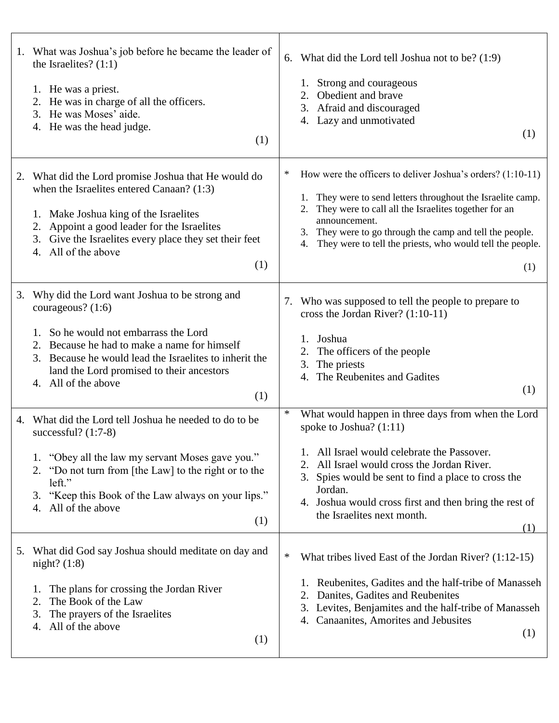| 1. What was Joshua's job before he became the leader of<br>the Israelites? $(1:1)$<br>1. He was a priest.<br>2. He was in charge of all the officers.<br>He was Moses' aide.<br>3.<br>4. He was the head judge.<br>(1)                                                                                | What did the Lord tell Joshua not to be? (1:9)<br>6.<br>Strong and courageous<br>1.<br>2. Obedient and brave<br>3. Afraid and discouraged<br>4. Lazy and unmotivated<br>(1)                                                                                                                                                                             |
|-------------------------------------------------------------------------------------------------------------------------------------------------------------------------------------------------------------------------------------------------------------------------------------------------------|---------------------------------------------------------------------------------------------------------------------------------------------------------------------------------------------------------------------------------------------------------------------------------------------------------------------------------------------------------|
| 2. What did the Lord promise Joshua that He would do<br>when the Israelites entered Canaan? (1:3)<br>1. Make Joshua king of the Israelites<br>Appoint a good leader for the Israelites<br>2.<br>3. Give the Israelites every place they set their feet<br>4. All of the above<br>(1)                  | How were the officers to deliver Joshua's orders? (1:10-11)<br>∗<br>1. They were to send letters throughout the Israelite camp.<br>They were to call all the Israelites together for an<br>2.<br>announcement.<br>They were to go through the camp and tell the people.<br>3.<br>They were to tell the priests, who would tell the people.<br>4.<br>(1) |
| Why did the Lord want Joshua to be strong and<br>3.<br>courageous? $(1:6)$<br>So he would not embarrass the Lord<br>Because he had to make a name for himself<br>Because he would lead the Israelites to inherit the<br>3.<br>land the Lord promised to their ancestors<br>4. All of the above<br>(1) | 7. Who was supposed to tell the people to prepare to<br>cross the Jordan River? (1:10-11)<br>Joshua<br>The officers of the people<br>2.<br>The priests<br>3.<br>The Reubenites and Gadites<br>4.<br>(1)                                                                                                                                                 |
| 4. What did the Lord tell Joshua he needed to do to be<br>successful? $(1:7-8)$<br>1. "Obey all the law my servant Moses gave you."<br>2. "Do not turn from [the Law] to the right or to the<br>left."<br>"Keep this Book of the Law always on your lips."<br>3.<br>All of the above<br>4.<br>(1)     | ∗<br>What would happen in three days from when the Lord<br>spoke to Joshua? (1:11)<br>All Israel would celebrate the Passover.<br>All Israel would cross the Jordan River.<br>Spies would be sent to find a place to cross the<br>3.<br>Jordan.<br>4. Joshua would cross first and then bring the rest of<br>the Israelites next month.<br>(1)          |
| 5. What did God say Joshua should meditate on day and<br>night? $(1:8)$<br>The plans for crossing the Jordan River<br>1.<br>The Book of the Law<br>2.<br>The prayers of the Israelites<br>3.<br>All of the above<br>4.<br>(1)                                                                         | $\ast$<br>What tribes lived East of the Jordan River? (1:12-15)<br>Reubenites, Gadites and the half-tribe of Manasseh<br>1.<br>Danites, Gadites and Reubenites<br>Levites, Benjamites and the half-tribe of Manasseh<br>3.<br>Canaanites, Amorites and Jebusites<br>4.<br>(1)                                                                           |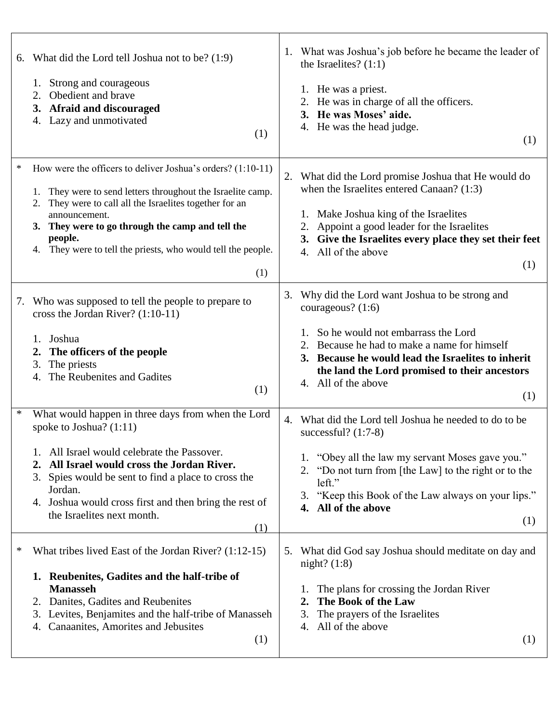| 6. What did the Lord tell Joshua not to be? (1:9)<br>Strong and courageous<br>Obedient and brave<br>2.<br>3. Afraid and discouraged<br>4. Lazy and unmotivated<br>(1)                                                                                                                                                                               | 1. What was Joshua's job before he became the leader of<br>the Israelites? $(1:1)$<br>1. He was a priest.<br>2. He was in charge of all the officers.<br>3. He was Moses' aide.<br>4. He was the head judge.<br>(1)                                                                                 |
|-----------------------------------------------------------------------------------------------------------------------------------------------------------------------------------------------------------------------------------------------------------------------------------------------------------------------------------------------------|-----------------------------------------------------------------------------------------------------------------------------------------------------------------------------------------------------------------------------------------------------------------------------------------------------|
| $\ast$<br>How were the officers to deliver Joshua's orders? (1:10-11)<br>They were to send letters throughout the Israelite camp.<br>2. They were to call all the Israelites together for an<br>announcement.<br>3. They were to go through the camp and tell the<br>people.<br>4. They were to tell the priests, who would tell the people.<br>(1) | 2. What did the Lord promise Joshua that He would do<br>when the Israelites entered Canaan? (1:3)<br>1. Make Joshua king of the Israelites<br>Appoint a good leader for the Israelites<br>3. Give the Israelites every place they set their feet<br>4. All of the above<br>(1)                      |
| Who was supposed to tell the people to prepare to<br>7.<br>cross the Jordan River? $(1:10-11)$<br>Joshua<br>1.<br>The officers of the people<br>2.<br>The priests<br>3.<br>The Reubenites and Gadites<br>4.<br>(1)                                                                                                                                  | Why did the Lord want Joshua to be strong and<br>3.<br>courageous? (1:6)<br>1. So he would not embarrass the Lord<br>Because he had to make a name for himself<br>3. Because he would lead the Israelites to inherit<br>the land the Lord promised to their ancestors<br>4. All of the above<br>(1) |
| ∗<br>What would happen in three days from when the Lord<br>spoke to Joshua? $(1:11)$<br>All Israel would celebrate the Passover.<br>All Israel would cross the Jordan River.<br>3. Spies would be sent to find a place to cross the<br>Jordan.<br>4. Joshua would cross first and then bring the rest of<br>the Israelites next month.<br>(1)       | 4. What did the Lord tell Joshua he needed to do to be<br>successful? $(1:7-8)$<br>1. "Obey all the law my servant Moses gave you."<br>"Do not turn from [the Law] to the right or to the<br>left."<br>"Keep this Book of the Law always on your lips."<br>3.<br>4. All of the above<br>(1)         |
| What tribes lived East of the Jordan River? (1:12-15)<br>∗<br>1. Reubenites, Gadites and the half-tribe of<br><b>Manasseh</b><br>2. Danites, Gadites and Reubenites<br>3. Levites, Benjamites and the half-tribe of Manasseh<br>Canaanites, Amorites and Jebusites<br>4.<br>(1)                                                                     | What did God say Joshua should meditate on day and<br>5.<br>night? $(1:8)$<br>The plans for crossing the Jordan River<br>The Book of the Law<br>2.<br>The prayers of the Israelites<br>3.<br>All of the above<br>4.<br>(1)                                                                          |

 $\top$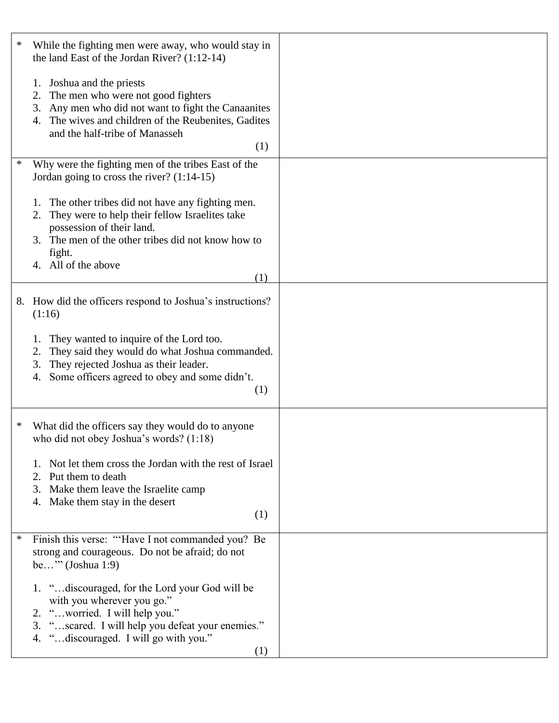| ∗ | While the fighting men were away, who would stay in<br>the land East of the Jordan River? $(1:12-14)$                                                                                                                                    |  |
|---|------------------------------------------------------------------------------------------------------------------------------------------------------------------------------------------------------------------------------------------|--|
|   | 1. Joshua and the priests<br>The men who were not good fighters<br>2.<br>3. Any men who did not want to fight the Canaanites<br>4. The wives and children of the Reubenites, Gadites<br>and the half-tribe of Manasseh<br>(1)            |  |
| ∗ | Why were the fighting men of the tribes East of the<br>Jordan going to cross the river? $(1:14-15)$                                                                                                                                      |  |
|   | The other tribes did not have any fighting men.<br>1.<br>They were to help their fellow Israelites take<br>2.<br>possession of their land.<br>3. The men of the other tribes did not know how to<br>fight.<br>4. All of the above<br>(1) |  |
|   | 8. How did the officers respond to Joshua's instructions?<br>(1:16)                                                                                                                                                                      |  |
|   | They wanted to inquire of the Lord too.<br>1.<br>They said they would do what Joshua commanded.<br>2.<br>They rejected Joshua as their leader.<br>3.<br>Some officers agreed to obey and some didn't.<br>4.<br>(1)                       |  |
| ∗ | What did the officers say they would do to anyone<br>who did not obey Joshua's words? $(1:18)$                                                                                                                                           |  |
|   | Not let them cross the Jordan with the rest of Israel<br>2. Put them to death<br>3. Make them leave the Israelite camp<br>4. Make them stay in the desert<br>(1)                                                                         |  |
| ∗ | Finish this verse: "Have I not commanded you? Be<br>strong and courageous. Do not be afraid; do not<br>be" $(John 1:9)$                                                                                                                  |  |
|   | 1. "discouraged, for the Lord your God will be<br>with you wherever you go."<br>2. "worried. I will help you."<br>3. "scared. I will help you defeat your enemies."<br>4. "discouraged. I will go with you."<br>(1)                      |  |